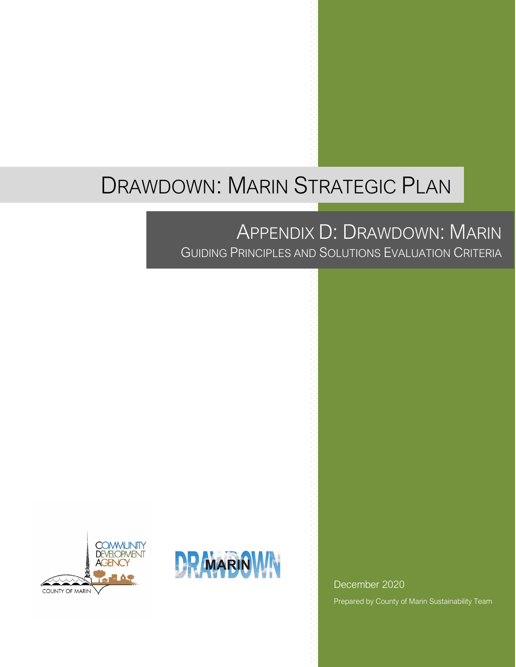# DRAWDOWN: MARIN STRATEGIC PLAN

# APPENDIX D: DRAWDOWN: MARIN

GUIDING PRINCIPLES AND SOLUTIONS EVALUATION CRITERIA





December 2020 Prepared by County of Marin Sustainability Team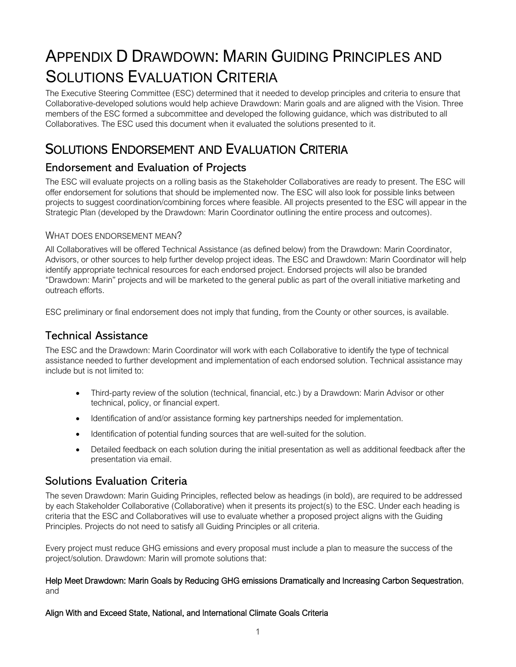# APPENDIX D DRAWDOWN: MARIN GUIDING PRINCIPLES AND SOLUTIONS EVALUATION CRITERIA

The Executive Steering Committee (ESC) determined that it needed to develop principles and criteria to ensure that Collaborative-developed solutions would help achieve Drawdown: Marin goals and are aligned with the Vision. Three members of the ESC formed a subcommittee and developed the following guidance, which was distributed to all Collaboratives. The ESC used this document when it evaluated the solutions presented to it.

## SOLUTIONS ENDORSEMENT AND EVALUATION CRITERIA

## Endorsement and Evaluation of Projects

The ESC will evaluate projects on a rolling basis as the Stakeholder Collaboratives are ready to present. The ESC will offer endorsement for solutions that should be implemented now. The ESC will also look for possible links between projects to suggest coordination/combining forces where feasible. All projects presented to the ESC will appear in the Strategic Plan (developed by the Drawdown: Marin Coordinator outlining the entire process and outcomes).

#### WHAT DOES ENDORSEMENT MEAN?

All Collaboratives will be offered Technical Assistance (as defined below) from the Drawdown: Marin Coordinator, Advisors, or other sources to help further develop project ideas. The ESC and Drawdown: Marin Coordinator will help identify appropriate technical resources for each endorsed project. Endorsed projects will also be branded "Drawdown: Marin" projects and will be marketed to the general public as part of the overall initiative marketing and outreach efforts.

ESC preliminary or final endorsement does not imply that funding, from the County or other sources, is available.

### Technical Assistance

The ESC and the Drawdown: Marin Coordinator will work with each Collaborative to identify the type of technical assistance needed to further development and implementation of each endorsed solution. Technical assistance may include but is not limited to:

- Third-party review of the solution (technical, financial, etc.) by a Drawdown: Marin Advisor or other technical, policy, or financial expert.
- Identification of and/or assistance forming key partnerships needed for implementation.
- Identification of potential funding sources that are well-suited for the solution.
- Detailed feedback on each solution during the initial presentation as well as additional feedback after the presentation via email.

### Solutions Evaluation Criteria

The seven Drawdown: Marin Guiding Principles, reflected below as headings (in bold), are required to be addressed by each Stakeholder Collaborative (Collaborative) when it presents its project(s) to the ESC. Under each heading is criteria that the ESC and Collaboratives will use to evaluate whether a proposed project aligns with the Guiding Principles. Projects do not need to satisfy all Guiding Principles or all criteria.

Every project must reduce GHG emissions and every proposal must include a plan to measure the success of the project/solution. Drawdown: Marin will promote solutions that:

#### Help Meet Drawdown: Marin Goals by Reducing GHG emissions Dramatically and Increasing Carbon Sequestration, and

#### Align With and Exceed State, National, and International Climate Goals Criteria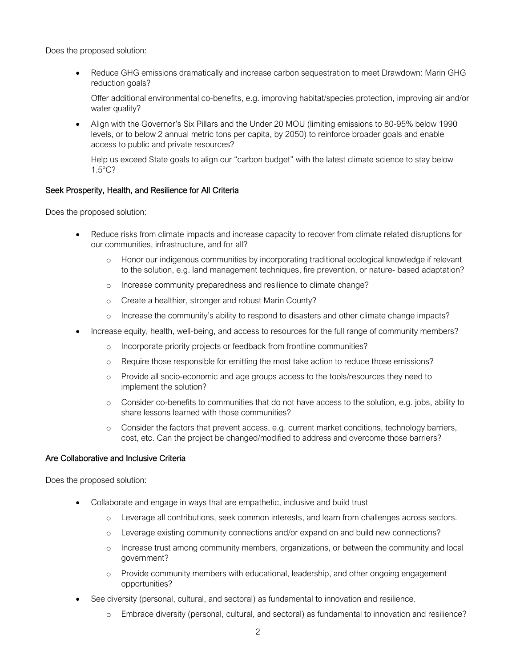Does the proposed solution:

• Reduce GHG emissions dramatically and increase carbon sequestration to meet Drawdown: Marin GHG reduction goals?

Offer additional environmental co-benefits, e.g. improving habitat/species protection, improving air and/or water quality?

• Align with the Governor's Six Pillars and the Under 20 MOU (limiting emissions to 80-95% below 1990 levels, or to below 2 annual metric tons per capita, by 2050) to reinforce broader goals and enable access to public and private resources?

Help us exceed State goals to align our "carbon budget" with the latest climate science to stay below 1.5°C?

#### Seek Prosperity, Health, and Resilience for All Criteria

Does the proposed solution:

- Reduce risks from climate impacts and increase capacity to recover from climate related disruptions for our communities, infrastructure, and for all?
	- o Honor our indigenous communities by incorporating traditional ecological knowledge if relevant to the solution, e.g. land management techniques, fire prevention, or nature- based adaptation?
	- o Increase community preparedness and resilience to climate change?
	- o Create a healthier, stronger and robust Marin County?
	- o Increase the community's ability to respond to disasters and other climate change impacts?
	- Increase equity, health, well-being, and access to resources for the full range of community members?
		- o Incorporate priority projects or feedback from frontline communities?
		- o Require those responsible for emitting the most take action to reduce those emissions?
		- o Provide all socio-economic and age groups access to the tools/resources they need to implement the solution?
		- o Consider co-benefits to communities that do not have access to the solution, e.g. jobs, ability to share lessons learned with those communities?
		- o Consider the factors that prevent access, e.g. current market conditions, technology barriers, cost, etc. Can the project be changed/modified to address and overcome those barriers?

#### Are Collaborative and Inclusive Criteria

Does the proposed solution:

- Collaborate and engage in ways that are empathetic, inclusive and build trust
	- o Leverage all contributions, seek common interests, and learn from challenges across sectors.
	- o Leverage existing community connections and/or expand on and build new connections?
	- o Increase trust among community members, organizations, or between the community and local government?
	- o Provide community members with educational, leadership, and other ongoing engagement opportunities?
- See diversity (personal, cultural, and sectoral) as fundamental to innovation and resilience.
	- o Embrace diversity (personal, cultural, and sectoral) as fundamental to innovation and resilience?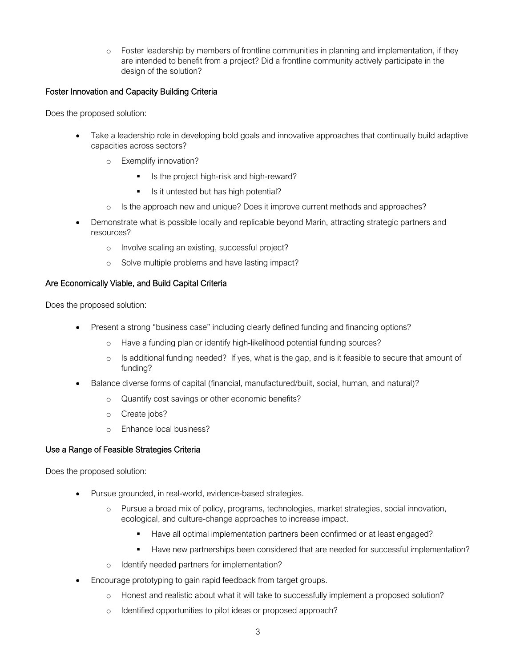o Foster leadership by members of frontline communities in planning and implementation, if they are intended to benefit from a project? Did a frontline community actively participate in the design of the solution?

#### Foster Innovation and Capacity Building Criteria

Does the proposed solution:

- Take a leadership role in developing bold goals and innovative approaches that continually build adaptive capacities across sectors?
	- o Exemplify innovation?
		- Is the project high-risk and high-reward?
		- Is it untested but has high potential?
	- o Is the approach new and unique? Does it improve current methods and approaches?
- Demonstrate what is possible locally and replicable beyond Marin, attracting strategic partners and resources?
	- o Involve scaling an existing, successful project?
	- o Solve multiple problems and have lasting impact?

#### Are Economically Viable, and Build Capital Criteria

Does the proposed solution:

- Present a strong "business case" including clearly defined funding and financing options?
	- o Have a funding plan or identify high-likelihood potential funding sources?
	- o Is additional funding needed? If yes, what is the gap, and is it feasible to secure that amount of funding?
- Balance diverse forms of capital (financial, manufactured/built, social, human, and natural)?
	- o Quantify cost savings or other economic benefits?
	- o Create jobs?
	- o Enhance local business?

#### Use a Range of Feasible Strategies Criteria

Does the proposed solution:

- Pursue grounded, in real-world, evidence-based strategies.
	- o Pursue a broad mix of policy, programs, technologies, market strategies, social innovation, ecological, and culture-change approaches to increase impact.
		- Have all optimal implementation partners been confirmed or at least engaged?
		- Have new partnerships been considered that are needed for successful implementation?
	- o Identify needed partners for implementation?
- Encourage prototyping to gain rapid feedback from target groups.
	- o Honest and realistic about what it will take to successfully implement a proposed solution?
	- o Identified opportunities to pilot ideas or proposed approach?